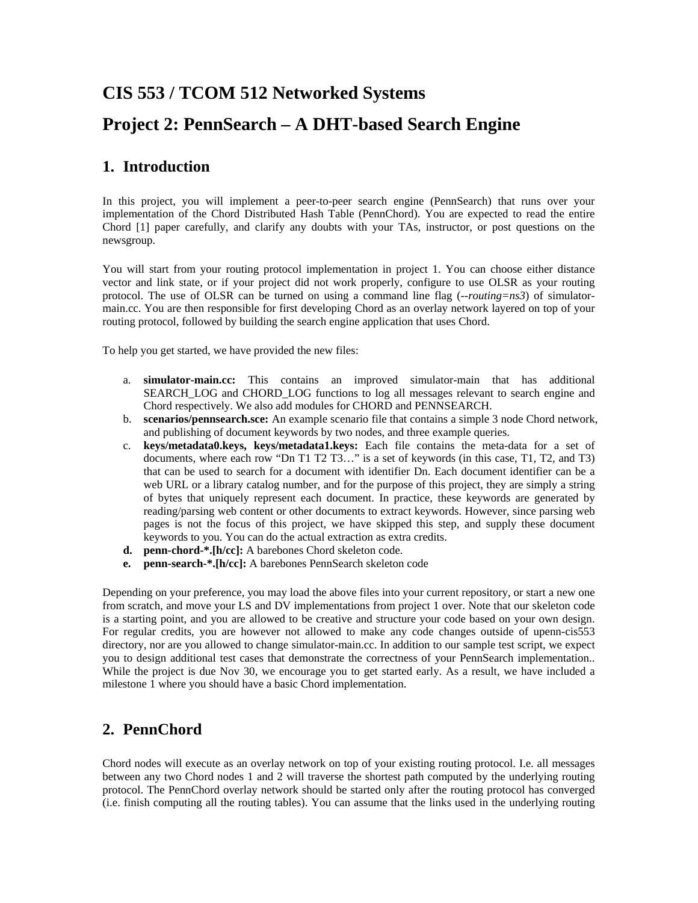# **CIS 553 / TCOM 512 Networked Systems**

# **Project 2: PennSearch – A DHT-based Search Engine**

## **1. Introduction**

In this project, you will implement a peer-to-peer search engine (PennSearch) that runs over your implementation of the Chord Distributed Hash Table (PennChord). You are expected to read the entire Chord [1] paper carefully, and clarify any doubts with your TAs, instructor, or post questions on the newsgroup.

You will start from your routing protocol implementation in project 1. You can choose either distance vector and link state, or if your project did not work properly, configure to use OLSR as your routing protocol. The use of OLSR can be turned on using a command line flag (*--routing=ns3*) of simulatormain.cc. You are then responsible for first developing Chord as an overlay network layered on top of your routing protocol, followed by building the search engine application that uses Chord.

To help you get started, we have provided the new files:

- a. **simulator-main.cc:** This contains an improved simulator-main that has additional SEARCH\_LOG and CHORD\_LOG functions to log all messages relevant to search engine and Chord respectively. We also add modules for CHORD and PENNSEARCH.
- b. **scenarios/pennsearch.sce:** An example scenario file that contains a simple 3 node Chord network, and publishing of document keywords by two nodes, and three example queries.
- c. **keys/metadata0.keys, keys/metadata1.keys:** Each file contains the meta-data for a set of documents, where each row "Dn T1 T2 T3…" is a set of keywords (in this case, T1, T2, and T3) that can be used to search for a document with identifier Dn. Each document identifier can be a web URL or a library catalog number, and for the purpose of this project, they are simply a string of bytes that uniquely represent each document. In practice, these keywords are generated by reading/parsing web content or other documents to extract keywords. However, since parsing web pages is not the focus of this project, we have skipped this step, and supply these document keywords to you. You can do the actual extraction as extra credits.
- **d. penn-chord-\*.[h/cc]:** A barebones Chord skeleton code.
- **e. penn-search-\*.[h/cc]:** A barebones PennSearch skeleton code

Depending on your preference, you may load the above files into your current repository, or start a new one from scratch, and move your LS and DV implementations from project 1 over. Note that our skeleton code is a starting point, and you are allowed to be creative and structure your code based on your own design. For regular credits, you are however not allowed to make any code changes outside of upenn-cis553 directory, nor are you allowed to change simulator-main.cc. In addition to our sample test script, we expect you to design additional test cases that demonstrate the correctness of your PennSearch implementation.. While the project is due Nov 30, we encourage you to get started early. As a result, we have included a milestone 1 where you should have a basic Chord implementation.

# **2. PennChord**

Chord nodes will execute as an overlay network on top of your existing routing protocol. I.e. all messages between any two Chord nodes 1 and 2 will traverse the shortest path computed by the underlying routing protocol. The PennChord overlay network should be started only after the routing protocol has converged (i.e. finish computing all the routing tables). You can assume that the links used in the underlying routing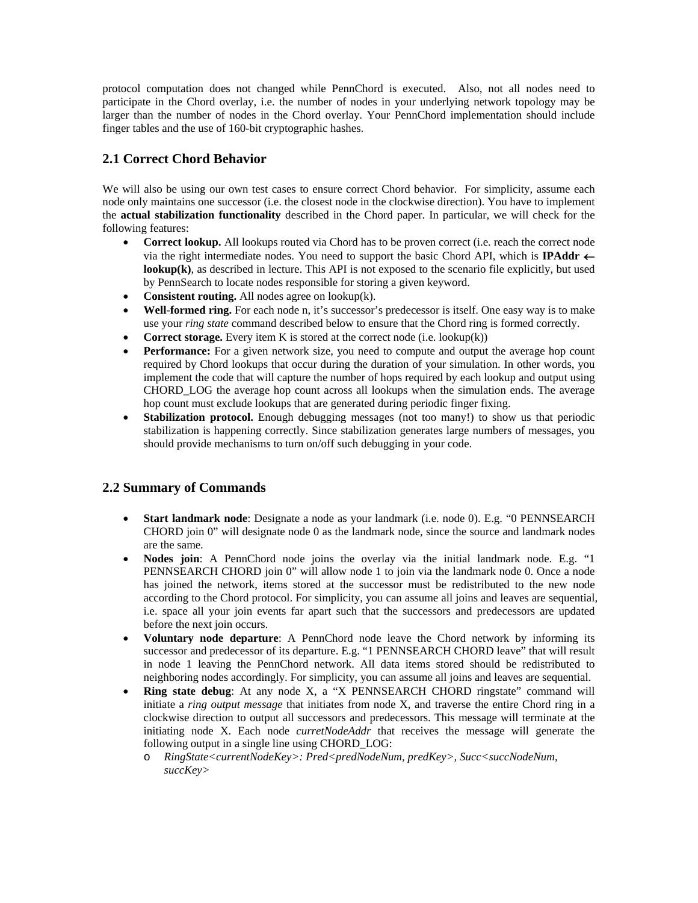protocol computation does not changed while PennChord is executed. Also, not all nodes need to participate in the Chord overlay, i.e. the number of nodes in your underlying network topology may be larger than the number of nodes in the Chord overlay. Your PennChord implementation should include finger tables and the use of 160-bit cryptographic hashes.

## **2.1 Correct Chord Behavior**

We will also be using our own test cases to ensure correct Chord behavior. For simplicity, assume each node only maintains one successor (i.e. the closest node in the clockwise direction). You have to implement the **actual stabilization functionality** described in the Chord paper. In particular, we will check for the following features:

- **Correct lookup.** All lookups routed via Chord has to be proven correct (i.e. reach the correct node via the right intermediate nodes. You need to support the basic Chord API, which is **IPAddr**  $\leftarrow$ **lookup(k)**, as described in lecture. This API is not exposed to the scenario file explicitly, but used by PennSearch to locate nodes responsible for storing a given keyword.
- **Consistent routing.** All nodes agree on lookup(k).
- **Well-formed ring.** For each node n, it's successor's predecessor is itself. One easy way is to make use your *ring state* command described below to ensure that the Chord ring is formed correctly.
- **Correct storage.** Every item K is stored at the correct node (i.e. lookup(k))
- **Performance:** For a given network size, you need to compute and output the average hop count required by Chord lookups that occur during the duration of your simulation. In other words, you implement the code that will capture the number of hops required by each lookup and output using CHORD LOG the average hop count across all lookups when the simulation ends. The average hop count must exclude lookups that are generated during periodic finger fixing.
- **Stabilization protocol.** Enough debugging messages (not too many!) to show us that periodic stabilization is happening correctly. Since stabilization generates large numbers of messages, you should provide mechanisms to turn on/off such debugging in your code.

#### **2.2 Summary of Commands**

- **Start landmark node**: Designate a node as your landmark (i.e. node 0). E.g. "0 PENNSEARCH CHORD join 0" will designate node 0 as the landmark node, since the source and landmark nodes are the same.
- **Nodes join**: A PennChord node joins the overlay via the initial landmark node. E.g. "1 PENNSEARCH CHORD join 0" will allow node 1 to join via the landmark node 0. Once a node has joined the network, items stored at the successor must be redistributed to the new node according to the Chord protocol. For simplicity, you can assume all joins and leaves are sequential, i.e. space all your join events far apart such that the successors and predecessors are updated before the next join occurs.
- **Voluntary node departure**: A PennChord node leave the Chord network by informing its successor and predecessor of its departure. E.g. "1 PENNSEARCH CHORD leave" that will result in node 1 leaving the PennChord network. All data items stored should be redistributed to neighboring nodes accordingly. For simplicity, you can assume all joins and leaves are sequential.
- **Ring state debug**: At any node X, a "X PENNSEARCH CHORD ringstate" command will initiate a *ring output message* that initiates from node X, and traverse the entire Chord ring in a clockwise direction to output all successors and predecessors. This message will terminate at the initiating node X. Each node *curretNodeAddr* that receives the message will generate the following output in a single line using CHORD\_LOG:
	- o *RingState<currentNodeKey>: Pred<predNodeNum, predKey>, Succ<succNodeNum, succKey>*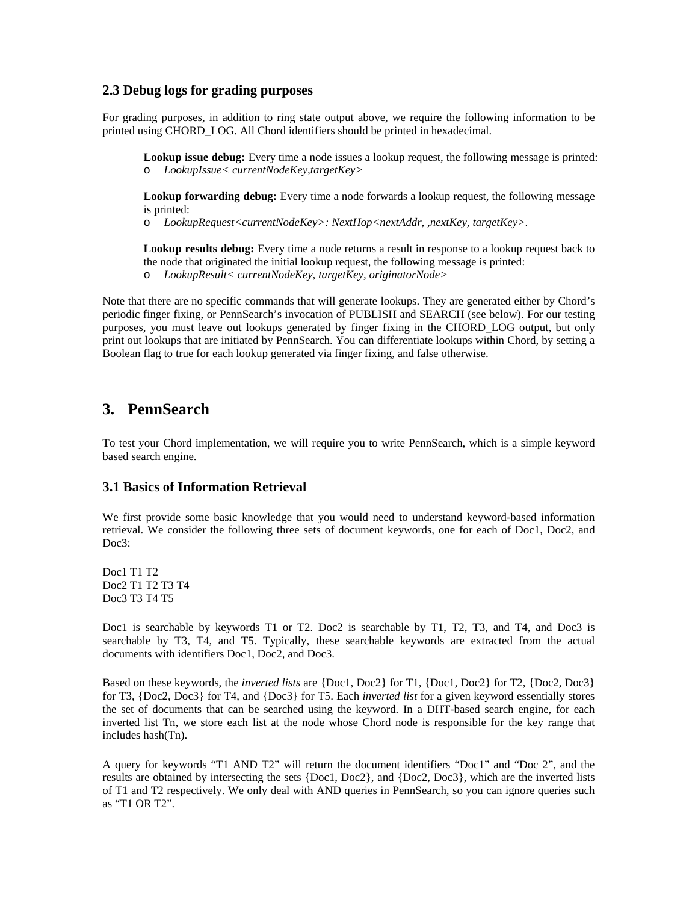#### **2.3 Debug logs for grading purposes**

For grading purposes, in addition to ring state output above, we require the following information to be printed using CHORD\_LOG. All Chord identifiers should be printed in hexadecimal.

**Lookup issue debug:** Every time a node issues a lookup request, the following message is printed: o *LookupIssue< currentNodeKey,targetKey>*

**Lookup forwarding debug:** Every time a node forwards a lookup request, the following message is printed:

o *LookupRequest<currentNodeKey>: NextHop<nextAddr, ,nextKey, targetKey>.* 

**Lookup results debug:** Every time a node returns a result in response to a lookup request back to the node that originated the initial lookup request, the following message is printed:

o *LookupResult< currentNodeKey, targetKey, originatorNode>*

Note that there are no specific commands that will generate lookups. They are generated either by Chord's periodic finger fixing, or PennSearch's invocation of PUBLISH and SEARCH (see below). For our testing purposes, you must leave out lookups generated by finger fixing in the CHORD\_LOG output, but only print out lookups that are initiated by PennSearch. You can differentiate lookups within Chord, by setting a Boolean flag to true for each lookup generated via finger fixing, and false otherwise.

### **3. PennSearch**

To test your Chord implementation, we will require you to write PennSearch, which is a simple keyword based search engine.

#### **3.1 Basics of Information Retrieval**

We first provide some basic knowledge that you would need to understand keyword-based information retrieval. We consider the following three sets of document keywords, one for each of Doc1, Doc2, and Doc3:

Doc1 T1 T2 Doc2 T1 T2 T3 T4 Doc3 T3 T4 T5

Doc1 is searchable by keywords T1 or T2. Doc2 is searchable by T1, T2, T3, and T4, and Doc3 is searchable by T3, T4, and T5. Typically, these searchable keywords are extracted from the actual documents with identifiers Doc1, Doc2, and Doc3.

Based on these keywords, the *inverted lists* are {Doc1, Doc2} for T1, {Doc1, Doc2} for T2, {Doc2, Doc3} for T3, {Doc2, Doc3} for T4, and {Doc3} for T5. Each *inverted list* for a given keyword essentially stores the set of documents that can be searched using the keyword. In a DHT-based search engine, for each inverted list Tn, we store each list at the node whose Chord node is responsible for the key range that includes hash(Tn).

A query for keywords "T1 AND T2" will return the document identifiers "Doc1" and "Doc 2", and the results are obtained by intersecting the sets {Doc1, Doc2}, and {Doc2, Doc3}, which are the inverted lists of T1 and T2 respectively. We only deal with AND queries in PennSearch, so you can ignore queries such as "T1 OR T2".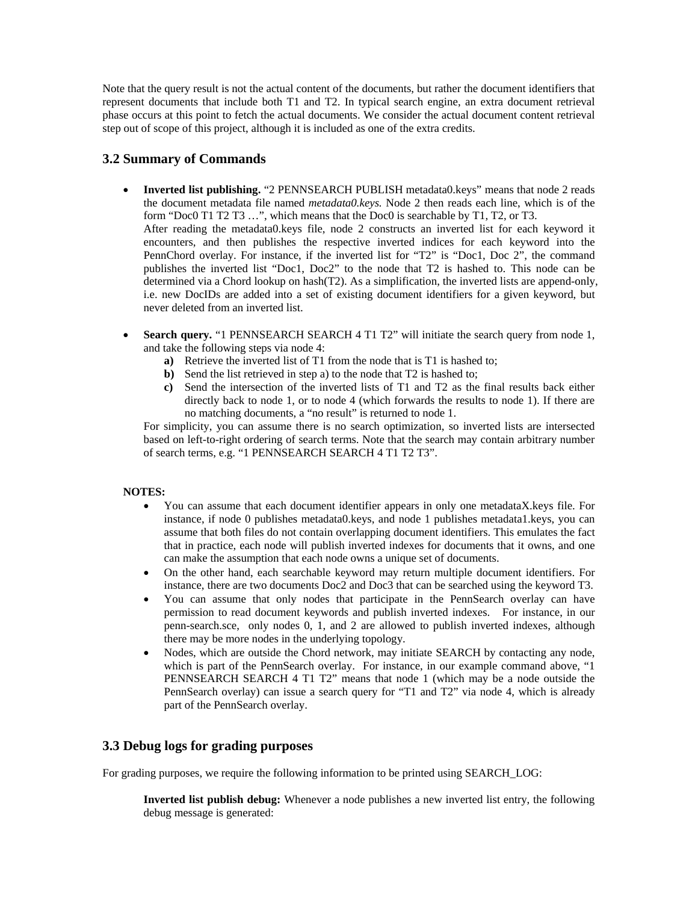Note that the query result is not the actual content of the documents, but rather the document identifiers that represent documents that include both T1 and T2. In typical search engine, an extra document retrieval phase occurs at this point to fetch the actual documents. We consider the actual document content retrieval step out of scope of this project, although it is included as one of the extra credits.

#### **3.2 Summary of Commands**

- **Inverted list publishing.** "2 PENNSEARCH PUBLISH metadata0.keys" means that node 2 reads the document metadata file named *metadata0.keys.* Node 2 then reads each line, which is of the form "Doc0 T1 T2 T3 …", which means that the Doc0 is searchable by T1, T2, or T3. After reading the metadata0.keys file, node 2 constructs an inverted list for each keyword it encounters, and then publishes the respective inverted indices for each keyword into the PennChord overlay. For instance, if the inverted list for "T2" is "Doc1, Doc 2", the command publishes the inverted list "Doc1, Doc2" to the node that T2 is hashed to. This node can be determined via a Chord lookup on hash(T2). As a simplification, the inverted lists are append-only, i.e. new DocIDs are added into a set of existing document identifiers for a given keyword, but never deleted from an inverted list.
- **Search query.** "1 PENNSEARCH SEARCH 4 T1 T2" will initiate the search query from node 1, and take the following steps via node 4:
	- **a)** Retrieve the inverted list of T1 from the node that is T1 is hashed to;
	- **b**) Send the list retrieved in step a) to the node that T2 is hashed to;
	- **c)** Send the intersection of the inverted lists of T1 and T2 as the final results back either directly back to node 1, or to node 4 (which forwards the results to node 1). If there are no matching documents, a "no result" is returned to node 1.

For simplicity, you can assume there is no search optimization, so inverted lists are intersected based on left-to-right ordering of search terms. Note that the search may contain arbitrary number of search terms, e.g. "1 PENNSEARCH SEARCH 4 T1 T2 T3".

#### **NOTES:**

- You can assume that each document identifier appears in only one metadataX.keys file. For instance, if node 0 publishes metadata0.keys, and node 1 publishes metadata1.keys, you can assume that both files do not contain overlapping document identifiers. This emulates the fact that in practice, each node will publish inverted indexes for documents that it owns, and one can make the assumption that each node owns a unique set of documents.
- On the other hand, each searchable keyword may return multiple document identifiers. For instance, there are two documents Doc2 and Doc3 that can be searched using the keyword T3.
- You can assume that only nodes that participate in the PennSearch overlay can have permission to read document keywords and publish inverted indexes. For instance, in our penn-search.sce, only nodes 0, 1, and 2 are allowed to publish inverted indexes, although there may be more nodes in the underlying topology.
- Nodes, which are outside the Chord network, may initiate SEARCH by contacting any node, which is part of the PennSearch overlay. For instance, in our example command above, "1 PENNSEARCH SEARCH 4 T1 T2" means that node 1 (which may be a node outside the PennSearch overlay) can issue a search query for "T1 and T2" via node 4, which is already part of the PennSearch overlay.

#### **3.3 Debug logs for grading purposes**

For grading purposes, we require the following information to be printed using SEARCH\_LOG:

**Inverted list publish debug:** Whenever a node publishes a new inverted list entry, the following debug message is generated: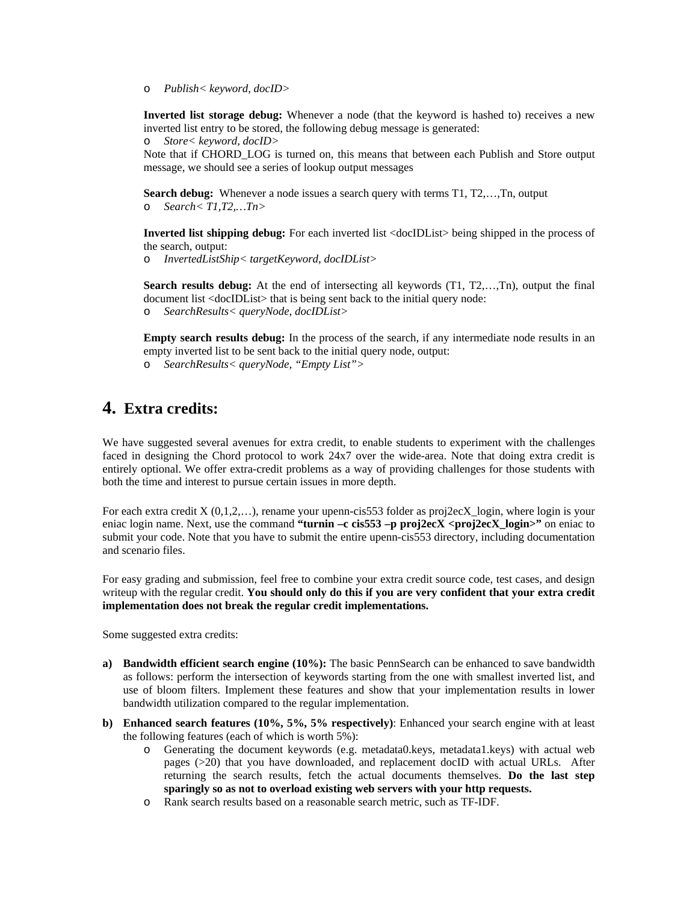o *Publish< keyword, docID>* 

**Inverted list storage debug:** Whenever a node (that the keyword is hashed to) receives a new inverted list entry to be stored, the following debug message is generated:

o *Store< keyword, docID>* 

Note that if CHORD\_LOG is turned on, this means that between each Publish and Store output message, we should see a series of lookup output messages

**Search debug:** Whenever a node issues a search query with terms T1, T2,…,Tn, output o *Search< T1,T2,…Tn>* 

**Inverted list shipping debug:** For each inverted list <docIDList> being shipped in the process of the search, output:

o *InvertedListShip< targetKeyword, docIDList>* 

**Search results debug:** At the end of intersecting all keywords (T1, T2,…,Tn), output the final document list <docIDList> that is being sent back to the initial query node:

o *SearchResults< queryNode, docIDList>* 

**Empty search results debug:** In the process of the search, if any intermediate node results in an empty inverted list to be sent back to the initial query node, output:

o *SearchResults< queryNode, "Empty List">* 

## **4. Extra credits:**

We have suggested several avenues for extra credit, to enable students to experiment with the challenges faced in designing the Chord protocol to work 24x7 over the wide-area. Note that doing extra credit is entirely optional. We offer extra-credit problems as a way of providing challenges for those students with both the time and interest to pursue certain issues in more depth.

For each extra credit  $X(0,1,2,...)$ , rename your upenn-cis553 folder as proj2ecX login, where login is your eniac login name. Next, use the command **"turnin –c cis553 –p proj2ecX <proj2ecX\_login>"** on eniac to submit your code. Note that you have to submit the entire upenn-cis553 directory, including documentation and scenario files.

For easy grading and submission, feel free to combine your extra credit source code, test cases, and design writeup with the regular credit. **You should only do this if you are very confident that your extra credit implementation does not break the regular credit implementations.** 

Some suggested extra credits:

- **a) Bandwidth efficient search engine (10%):** The basic PennSearch can be enhanced to save bandwidth as follows: perform the intersection of keywords starting from the one with smallest inverted list, and use of bloom filters. Implement these features and show that your implementation results in lower bandwidth utilization compared to the regular implementation.
- **b) Enhanced search features (10%, 5%, 5% respectively)**: Enhanced your search engine with at least the following features (each of which is worth 5%):
	- o Generating the document keywords (e.g. metadata0.keys, metadata1.keys) with actual web pages (>20) that you have downloaded, and replacement docID with actual URLs. After returning the search results, fetch the actual documents themselves. **Do the last step sparingly so as not to overload existing web servers with your http requests.**
	- o Rank search results based on a reasonable search metric, such as TF-IDF.